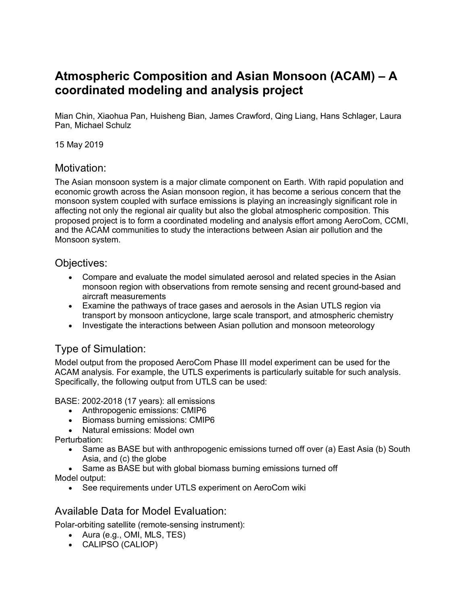# **Atmospheric Composition and Asian Monsoon (ACAM) – A coordinated modeling and analysis project**

Mian Chin, Xiaohua Pan, Huisheng Bian, James Crawford, Qing Liang, Hans Schlager, Laura Pan, Michael Schulz

15 May 2019

## Motivation:

The Asian monsoon system is a major climate component on Earth. With rapid population and economic growth across the Asian monsoon region, it has become a serious concern that the monsoon system coupled with surface emissions is playing an increasingly significant role in affecting not only the regional air quality but also the global atmospheric composition. This proposed project is to form a coordinated modeling and analysis effort among AeroCom, CCMI, and the ACAM communities to study the interactions between Asian air pollution and the Monsoon system.

## Objectives:

- Compare and evaluate the model simulated aerosol and related species in the Asian monsoon region with observations from remote sensing and recent ground-based and aircraft measurements
- Examine the pathways of trace gases and aerosols in the Asian UTLS region via transport by monsoon anticyclone, large scale transport, and atmospheric chemistry
- Investigate the interactions between Asian pollution and monsoon meteorology

## Type of Simulation:

Model output from the proposed AeroCom Phase III model experiment can be used for the ACAM analysis. For example, the UTLS experiments is particularly suitable for such analysis. Specifically, the following output from UTLS can be used:

BASE: 2002-2018 (17 years): all emissions

- Anthropogenic emissions: CMIP6
- Biomass burning emissions: CMIP6
- Natural emissions: Model own

Perturbation:

- Same as BASE but with anthropogenic emissions turned off over (a) East Asia (b) South Asia, and (c) the globe
- Same as BASE but with global biomass burning emissions turned off

Model output:

• See requirements under UTLS experiment on AeroCom wiki

## Available Data for Model Evaluation:

Polar-orbiting satellite (remote-sensing instrument):

- Aura (e.g., OMI, MLS, TES)
- CALIPSO (CALIOP)